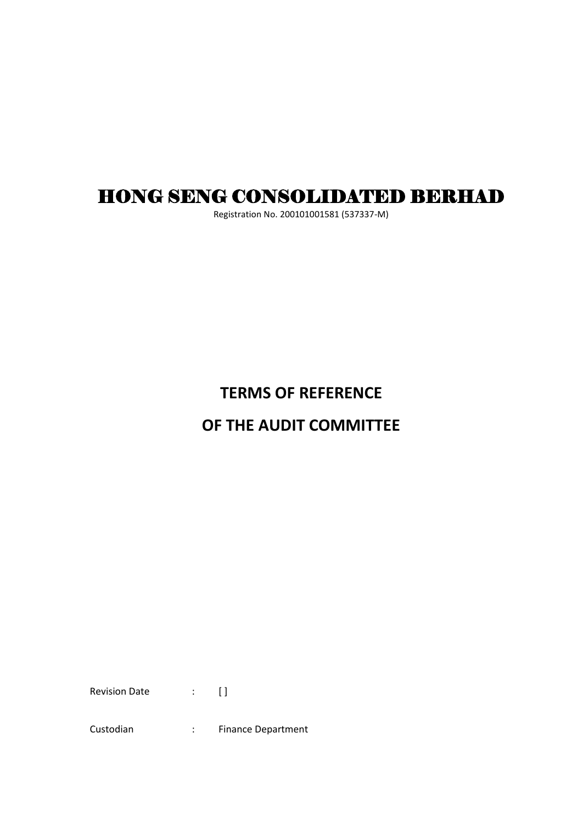# HONG SENG CONSOLIDATED BERHAD

Registration No. 200101001581 (537337-M)

## **TERMS OF REFERENCE**

## **OF THE AUDIT COMMITTEE**

Revision Date : [ ]

Custodian : Finance Department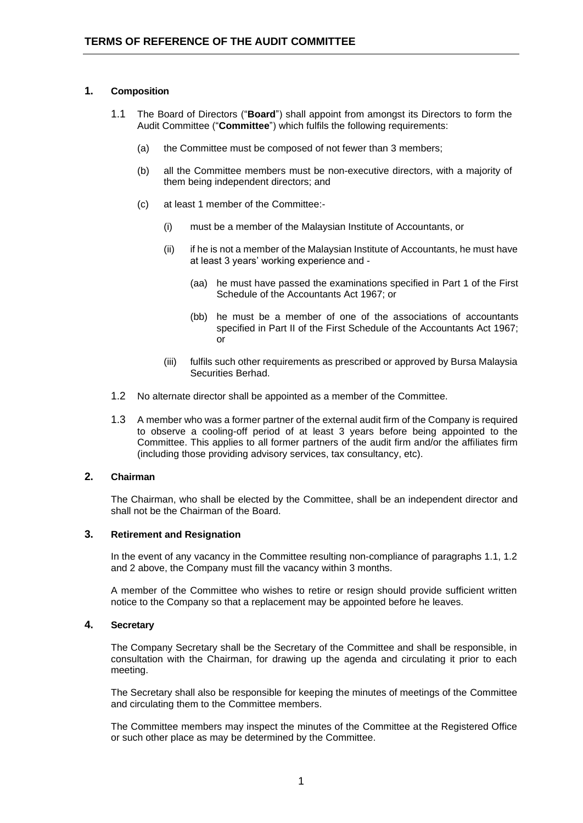## **1. Composition**

- 1.1 The Board of Directors ("**Board**") shall appoint from amongst its Directors to form the Audit Committee ("**Committee**") which fulfils the following requirements:
	- (a) the Committee must be composed of not fewer than 3 members;
	- (b) all the Committee members must be non-executive directors, with a majority of them being independent directors; and
	- (c) at least 1 member of the Committee:-
		- (i) must be a member of the Malaysian Institute of Accountants, or
		- (ii) if he is not a member of the Malaysian Institute of Accountants, he must have at least 3 years' working experience and -
			- (aa) he must have passed the examinations specified in Part 1 of the First Schedule of the Accountants Act 1967; or
			- (bb) he must be a member of one of the associations of accountants specified in Part II of the First Schedule of the Accountants Act 1967; or
		- (iii) fulfils such other requirements as prescribed or approved by Bursa Malaysia Securities Berhad.
- 1.2 No alternate director shall be appointed as a member of the Committee.
- 1.3 A member who was a former partner of the external audit firm of the Company is required to observe a cooling-off period of at least 3 years before being appointed to the Committee. This applies to all former partners of the audit firm and/or the affiliates firm (including those providing advisory services, tax consultancy, etc).

## **2. Chairman**

The Chairman, who shall be elected by the Committee, shall be an independent director and shall not be the Chairman of the Board.

### **3. Retirement and Resignation**

In the event of any vacancy in the Committee resulting non-compliance of paragraphs 1.1, 1.2 and 2 above, the Company must fill the vacancy within 3 months.

A member of the Committee who wishes to retire or resign should provide sufficient written notice to the Company so that a replacement may be appointed before he leaves.

### **4. Secretary**

The Company Secretary shall be the Secretary of the Committee and shall be responsible, in consultation with the Chairman, for drawing up the agenda and circulating it prior to each meeting.

The Secretary shall also be responsible for keeping the minutes of meetings of the Committee and circulating them to the Committee members.

The Committee members may inspect the minutes of the Committee at the Registered Office or such other place as may be determined by the Committee.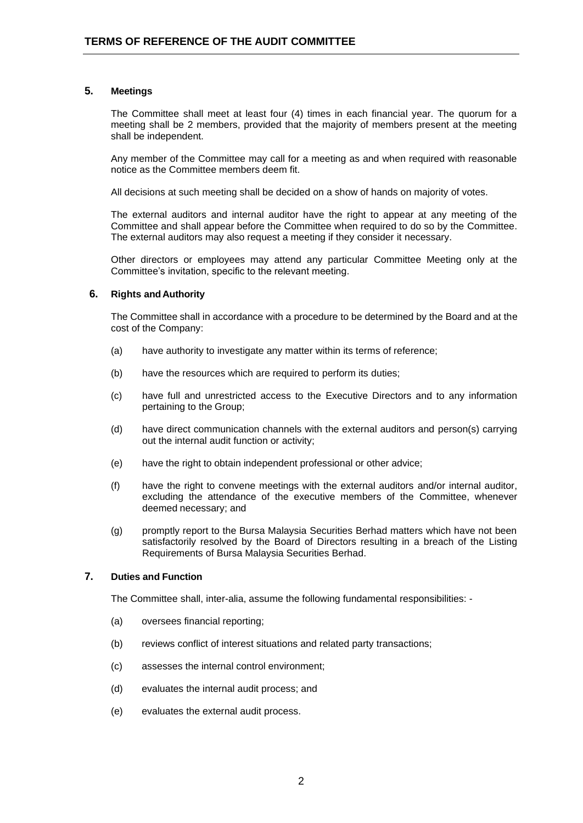#### **5. Meetings**

The Committee shall meet at least four (4) times in each financial year. The quorum for a meeting shall be 2 members, provided that the majority of members present at the meeting shall be independent.

Any member of the Committee may call for a meeting as and when required with reasonable notice as the Committee members deem fit.

All decisions at such meeting shall be decided on a show of hands on majority of votes.

The external auditors and internal auditor have the right to appear at any meeting of the Committee and shall appear before the Committee when required to do so by the Committee. The external auditors may also request a meeting if they consider it necessary.

Other directors or employees may attend any particular Committee Meeting only at the Committee's invitation, specific to the relevant meeting.

#### **6. Rights andAuthority**

The Committee shall in accordance with a procedure to be determined by the Board and at the cost of the Company:

- (a) have authority to investigate any matter within its terms of reference;
- (b) have the resources which are required to perform its duties;
- (c) have full and unrestricted access to the Executive Directors and to any information pertaining to the Group;
- (d) have direct communication channels with the external auditors and person(s) carrying out the internal audit function or activity;
- (e) have the right to obtain independent professional or other advice;
- (f) have the right to convene meetings with the external auditors and/or internal auditor, excluding the attendance of the executive members of the Committee, whenever deemed necessary; and
- (g) promptly report to the Bursa Malaysia Securities Berhad matters which have not been satisfactorily resolved by the Board of Directors resulting in a breach of the Listing Requirements of Bursa Malaysia Securities Berhad.

## **7. Duties and Function**

The Committee shall, inter-alia, assume the following fundamental responsibilities: -

- (a) oversees financial reporting;
- (b) reviews conflict of interest situations and related party transactions;
- (c) assesses the internal control environment;
- (d) evaluates the internal audit process; and
- (e) evaluates the external audit process.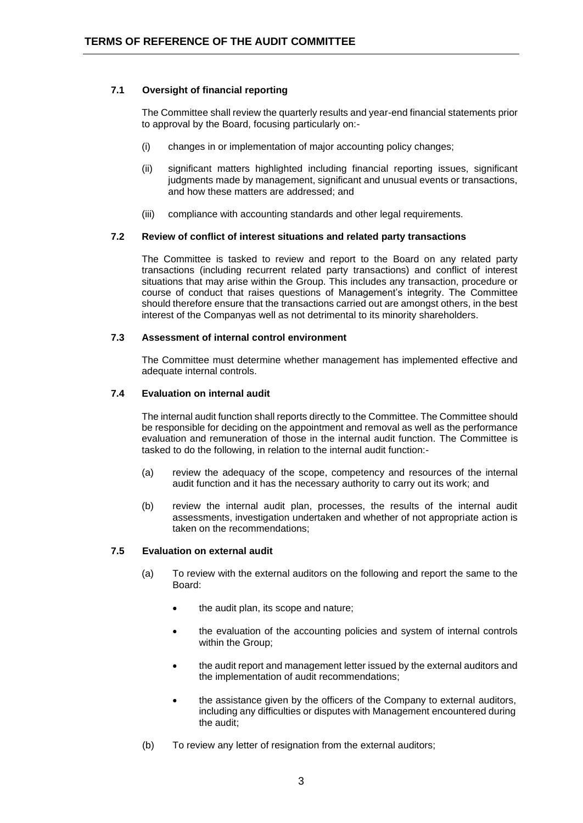## **7.1 Oversight of financial reporting**

The Committee shall review the quarterly results and year-end financial statements prior to approval by the Board, focusing particularly on:-

- (i) changes in or implementation of major accounting policy changes;
- (ii) significant matters highlighted including financial reporting issues, significant judgments made by management, significant and unusual events or transactions, and how these matters are addressed; and
- (iii) compliance with accounting standards and other legal requirements.

#### **7.2 Review of conflict of interest situations and related party transactions**

The Committee is tasked to review and report to the Board on any related party transactions (including recurrent related party transactions) and conflict of interest situations that may arise within the Group. This includes any transaction, procedure or course of conduct that raises questions of Management's integrity. The Committee should therefore ensure that the transactions carried out are amongst others, in the best interest of the Companyas well as not detrimental to its minority shareholders.

#### **7.3 Assessment of internal control environment**

The Committee must determine whether management has implemented effective and adequate internal controls.

#### **7.4 Evaluation on internal audit**

The internal audit function shall reports directly to the Committee. The Committee should be responsible for deciding on the appointment and removal as well as the performance evaluation and remuneration of those in the internal audit function. The Committee is tasked to do the following, in relation to the internal audit function:-

- (a) review the adequacy of the scope, competency and resources of the internal audit function and it has the necessary authority to carry out its work; and
- (b) review the internal audit plan, processes, the results of the internal audit assessments, investigation undertaken and whether of not appropriate action is taken on the recommendations;

#### **7.5 Evaluation on external audit**

- (a) To review with the external auditors on the following and report the same to the Board:
	- the audit plan, its scope and nature;
	- the evaluation of the accounting policies and system of internal controls within the Group;
	- the audit report and management letter issued by the external auditors and the implementation of audit recommendations;
	- the assistance given by the officers of the Company to external auditors, including any difficulties or disputes with Management encountered during the audit;
- (b) To review any letter of resignation from the external auditors;